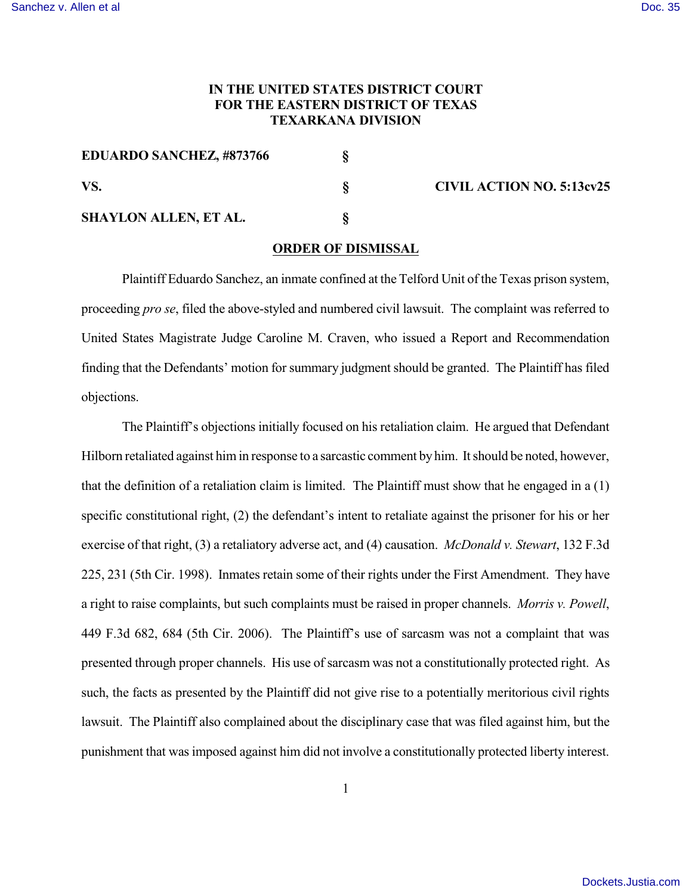## **IN THE UNITED STATES DISTRICT COURT FOR THE EASTERN DISTRICT OF TEXAS TEXARKANA DIVISION**

| <b>EDUARDO SANCHEZ, #873766</b> |  | <b>CIVIL ACTION NO. 5:13cv25</b> |
|---------------------------------|--|----------------------------------|
| VS.                             |  |                                  |
| <b>SHAYLON ALLEN, ET AL.</b>    |  |                                  |

## **ORDER OF DISMISSAL**

Plaintiff Eduardo Sanchez, an inmate confined at the Telford Unit of the Texas prison system, proceeding *pro se*, filed the above-styled and numbered civil lawsuit. The complaint was referred to United States Magistrate Judge Caroline M. Craven, who issued a Report and Recommendation finding that the Defendants' motion for summary judgment should be granted. The Plaintiff has filed objections.

The Plaintiff's objections initially focused on his retaliation claim. He argued that Defendant Hilborn retaliated against him in response to a sarcastic comment by him. It should be noted, however, that the definition of a retaliation claim is limited. The Plaintiff must show that he engaged in a  $(1)$ specific constitutional right, (2) the defendant's intent to retaliate against the prisoner for his or her exercise of that right, (3) a retaliatory adverse act, and (4) causation. *McDonald v. Stewart*, 132 F.3d 225, 231 (5th Cir. 1998). Inmates retain some of their rights under the First Amendment. They have a right to raise complaints, but such complaints must be raised in proper channels. *Morris v. Powell*, 449 F.3d 682, 684 (5th Cir. 2006). The Plaintiff's use of sarcasm was not a complaint that was presented through proper channels. His use of sarcasm was not a constitutionally protected right. As such, the facts as presented by the Plaintiff did not give rise to a potentially meritorious civil rights lawsuit. The Plaintiff also complained about the disciplinary case that was filed against him, but the punishment that was imposed against him did not involve a constitutionally protected liberty interest.